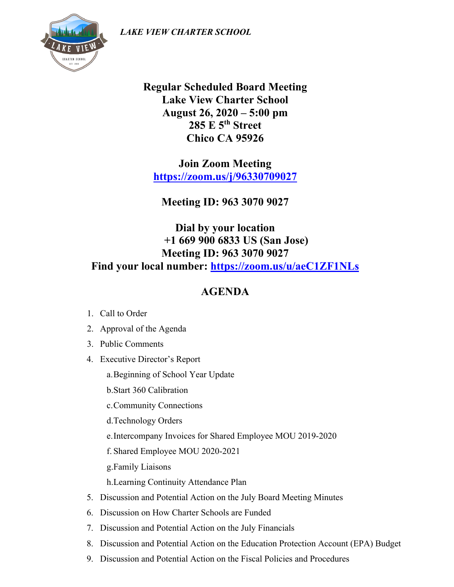*LAKE VIEW CHARTER SCHOOL*



**Regular Scheduled Board Meeting Lake View Charter School August 26, 2020 – 5:00 pm 285 E 5th Street Chico CA 95926**

**Join Zoom Meeting <https://zoom.us/j/96330709027>**

**Meeting ID: 963 3070 9027**

## **Dial by your location +1 669 900 6833 US (San Jose) Meeting ID: 963 3070 9027 Find your local number: <https://zoom.us/u/aeC1ZF1NLs>**

## **AGENDA**

- 1. Call to Order
- 2. Approval of the Agenda
- 3. Public Comments
- 4. Executive Director's Report
	- a.Beginning of School Year Update
	- b.Start 360 Calibration
	- c.Community Connections
	- d.Technology Orders
	- e.Intercompany Invoices for Shared Employee MOU 2019-2020
	- f. Shared Employee MOU 2020-2021
	- g.Family Liaisons
	- h.Learning Continuity Attendance Plan
- 5. Discussion and Potential Action on the July Board Meeting Minutes
- 6. Discussion on How Charter Schools are Funded
- 7. Discussion and Potential Action on the July Financials
- 8. Discussion and Potential Action on the Education Protection Account (EPA) Budget
- 9. Discussion and Potential Action on the Fiscal Policies and Procedures